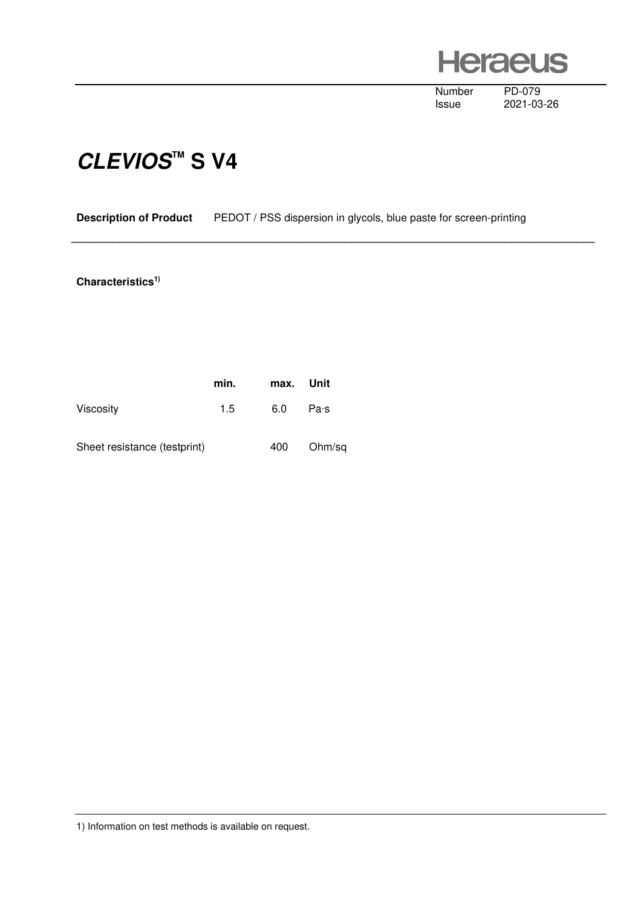**Heraeus** 

Number PD-079<br>Issue 2021-03

2021-03-26

## **CLEVIOS™ S V4**

## **Description of Product** PEDOT / PSS dispersion in glycols, blue paste for screen-printing

 **\_\_\_\_\_\_\_\_\_\_\_\_\_\_\_\_\_\_\_\_\_\_\_\_\_\_\_\_\_\_\_\_\_\_\_\_\_\_\_\_\_\_\_\_\_\_\_\_\_\_\_\_\_\_\_\_\_\_\_\_\_\_\_\_\_\_\_\_\_\_\_\_\_\_\_\_\_\_\_\_\_\_\_\_\_\_\_\_** 

## **Characteristics1)**

|                              | min. | max. Unit |        |
|------------------------------|------|-----------|--------|
| <b>Viscosity</b>             | 1.5  | 6.0       | Pa·s   |
| Sheet resistance (testprint) |      | 400       | Ohm/sq |

1) Information on test methods is available on request.